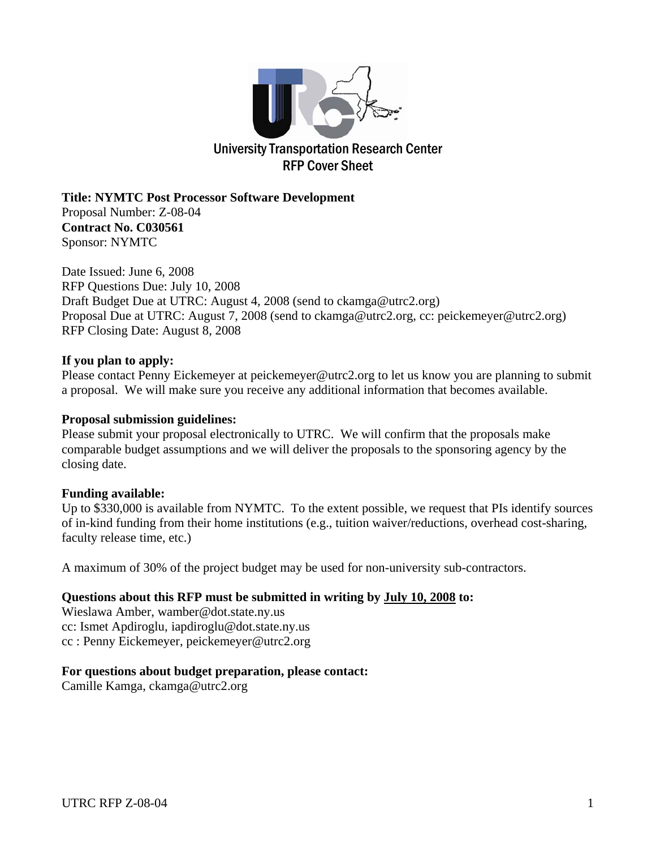

**Title: NYMTC Post Processor Software Development**  Proposal Number: Z-08-04 **Contract No. C030561** Sponsor: NYMTC

Date Issued: June 6, 2008 RFP Questions Due: July 10, 2008 Draft Budget Due at UTRC: August 4, 2008 (send to ckamga@utrc2.org) Proposal Due at UTRC: August 7, 2008 (send to ckamga@utrc2.org, cc: peickemeyer@utrc2.org) RFP Closing Date: August 8, 2008

#### **If you plan to apply:**

Please contact Penny Eickemeyer at peickemeyer@utrc2.org to let us know you are planning to submit a proposal. We will make sure you receive any additional information that becomes available.

#### **Proposal submission guidelines:**

Please submit your proposal electronically to UTRC. We will confirm that the proposals make comparable budget assumptions and we will deliver the proposals to the sponsoring agency by the closing date.

#### **Funding available:**

Up to \$330,000 is available from NYMTC. To the extent possible, we request that PIs identify sources of in-kind funding from their home institutions (e.g., tuition waiver/reductions, overhead cost-sharing, faculty release time, etc.)

A maximum of 30% of the project budget may be used for non-university sub-contractors.

#### **Questions about this RFP must be submitted in writing by July 10, 2008 to:**

Wieslawa Amber, wamber@dot.state.ny.us cc: Ismet Apdiroglu, iapdiroglu@dot.state.ny.us cc : Penny Eickemeyer, peickemeyer@utrc2.org

#### **For questions about budget preparation, please contact:**

Camille Kamga, ckamga@utrc2.org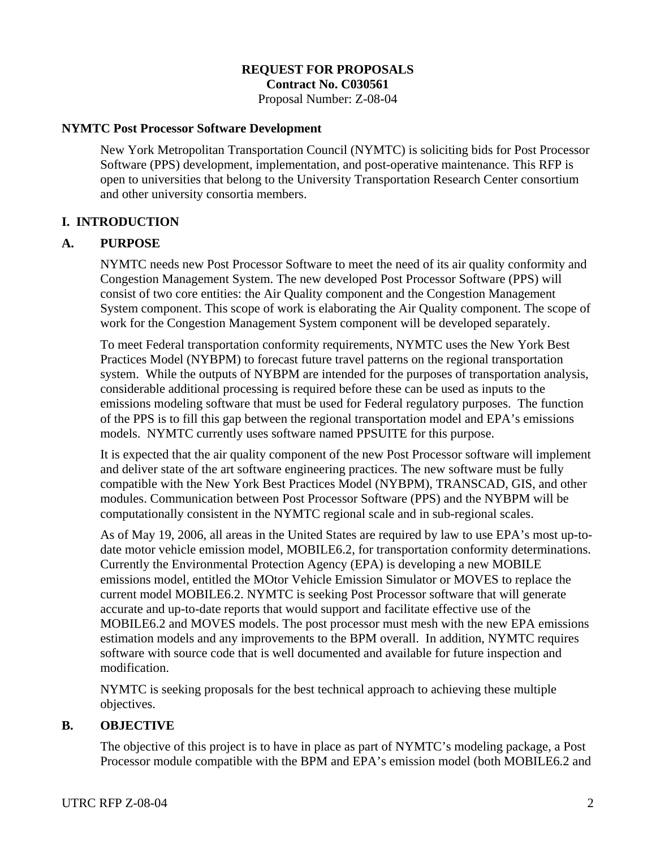#### **REQUEST FOR PROPOSALS Contract No. C030561**

Proposal Number: Z-08-04

#### **NYMTC Post Processor Software Development**

New York Metropolitan Transportation Council (NYMTC) is soliciting bids for Post Processor Software (PPS) development, implementation, and post-operative maintenance. This RFP is open to universities that belong to the University Transportation Research Center consortium and other university consortia members.

#### **I. INTRODUCTION**

#### **A. PURPOSE**

NYMTC needs new Post Processor Software to meet the need of its air quality conformity and Congestion Management System. The new developed Post Processor Software (PPS) will consist of two core entities: the Air Quality component and the Congestion Management System component. This scope of work is elaborating the Air Quality component. The scope of work for the Congestion Management System component will be developed separately.

To meet Federal transportation conformity requirements, NYMTC uses the New York Best Practices Model (NYBPM) to forecast future travel patterns on the regional transportation system. While the outputs of NYBPM are intended for the purposes of transportation analysis, considerable additional processing is required before these can be used as inputs to the emissions modeling software that must be used for Federal regulatory purposes. The function of the PPS is to fill this gap between the regional transportation model and EPA's emissions models. NYMTC currently uses software named PPSUITE for this purpose.

It is expected that the air quality component of the new Post Processor software will implement and deliver state of the art software engineering practices. The new software must be fully compatible with the New York Best Practices Model (NYBPM), TRANSCAD, GIS, and other modules. Communication between Post Processor Software (PPS) and the NYBPM will be computationally consistent in the NYMTC regional scale and in sub-regional scales.

As of May 19, 2006, all areas in the United States are required by law to use EPA's most up-todate motor vehicle emission model, MOBILE6.2, for transportation conformity determinations. Currently the Environmental Protection Agency (EPA) is developing a new MOBILE emissions model, entitled the MOtor Vehicle Emission Simulator or MOVES to replace the current model MOBILE6.2. NYMTC is seeking Post Processor software that will generate accurate and up-to-date reports that would support and facilitate effective use of the MOBILE6.2 and MOVES models. The post processor must mesh with the new EPA emissions estimation models and any improvements to the BPM overall. In addition, NYMTC requires software with source code that is well documented and available for future inspection and modification.

NYMTC is seeking proposals for the best technical approach to achieving these multiple objectives.

#### **B. OBJECTIVE**

The objective of this project is to have in place as part of NYMTC's modeling package, a Post Processor module compatible with the BPM and EPA's emission model (both MOBILE6.2 and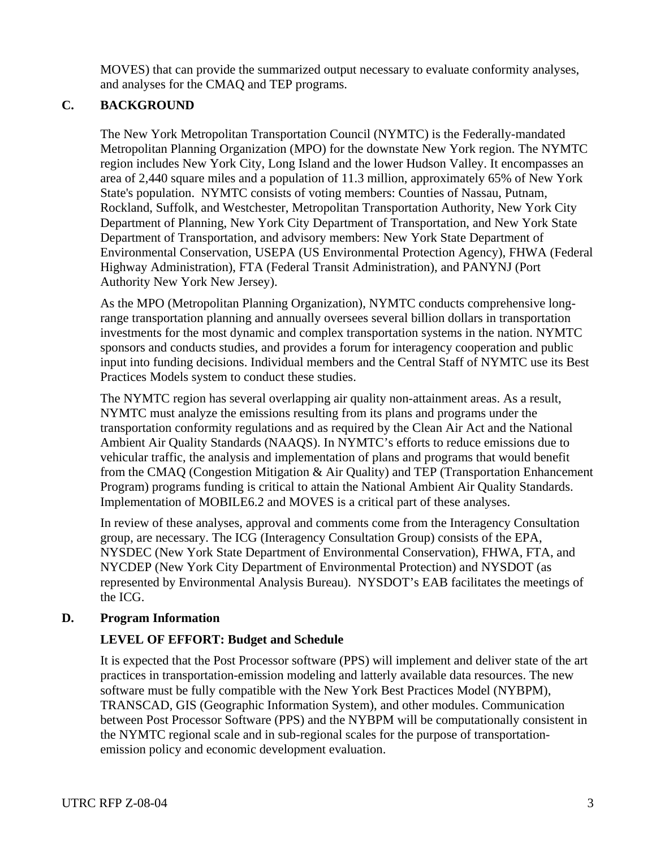MOVES) that can provide the summarized output necessary to evaluate conformity analyses, and analyses for the CMAQ and TEP programs.

### **C. BACKGROUND**

The New York Metropolitan Transportation Council (NYMTC) is the Federally-mandated Metropolitan Planning Organization (MPO) for the downstate New York region. The NYMTC region includes New York City, Long Island and the lower Hudson Valley. It encompasses an area of 2,440 square miles and a population of 11.3 million, approximately 65% of New York State's population. NYMTC consists of voting members: Counties of Nassau, Putnam, Rockland, Suffolk, and Westchester, Metropolitan Transportation Authority, New York City Department of Planning, New York City Department of Transportation, and New York State Department of Transportation, and advisory members: New York State Department of Environmental Conservation, USEPA (US Environmental Protection Agency), FHWA (Federal Highway Administration), FTA (Federal Transit Administration), and PANYNJ (Port Authority New York New Jersey).

As the MPO (Metropolitan Planning Organization), NYMTC conducts comprehensive longrange transportation planning and annually oversees several billion dollars in transportation investments for the most dynamic and complex transportation systems in the nation. NYMTC sponsors and conducts studies, and provides a forum for interagency cooperation and public input into funding decisions. Individual members and the Central Staff of NYMTC use its Best Practices Models system to conduct these studies.

The NYMTC region has several overlapping air quality non-attainment areas. As a result, NYMTC must analyze the emissions resulting from its plans and programs under the transportation conformity regulations and as required by the Clean Air Act and the National Ambient Air Quality Standards (NAAQS). In NYMTC's efforts to reduce emissions due to vehicular traffic, the analysis and implementation of plans and programs that would benefit from the CMAQ (Congestion Mitigation & Air Quality) and TEP (Transportation Enhancement Program) programs funding is critical to attain the National Ambient Air Quality Standards. Implementation of MOBILE6.2 and MOVES is a critical part of these analyses.

In review of these analyses, approval and comments come from the Interagency Consultation group, are necessary. The ICG (Interagency Consultation Group) consists of the EPA, NYSDEC (New York State Department of Environmental Conservation), FHWA, FTA, and NYCDEP (New York City Department of Environmental Protection) and NYSDOT (as represented by Environmental Analysis Bureau). NYSDOT's EAB facilitates the meetings of the ICG.

### **D. Program Information**

# **LEVEL OF EFFORT: Budget and Schedule**

It is expected that the Post Processor software (PPS) will implement and deliver state of the art practices in transportation-emission modeling and latterly available data resources. The new software must be fully compatible with the New York Best Practices Model (NYBPM), TRANSCAD, GIS (Geographic Information System), and other modules. Communication between Post Processor Software (PPS) and the NYBPM will be computationally consistent in the NYMTC regional scale and in sub-regional scales for the purpose of transportationemission policy and economic development evaluation.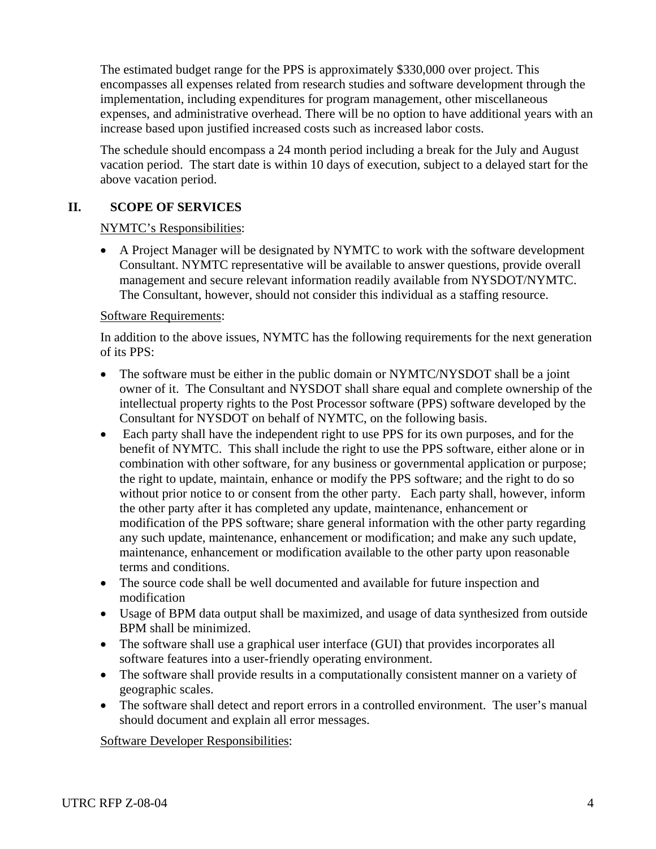The estimated budget range for the PPS is approximately \$330,000 over project. This encompasses all expenses related from research studies and software development through the implementation, including expenditures for program management, other miscellaneous expenses, and administrative overhead. There will be no option to have additional years with an increase based upon justified increased costs such as increased labor costs.

The schedule should encompass a 24 month period including a break for the July and August vacation period. The start date is within 10 days of execution, subject to a delayed start for the above vacation period.

### **II. SCOPE OF SERVICES**

#### NYMTC's Responsibilities:

• A Project Manager will be designated by NYMTC to work with the software development Consultant. NYMTC representative will be available to answer questions, provide overall management and secure relevant information readily available from NYSDOT/NYMTC. The Consultant, however, should not consider this individual as a staffing resource.

#### Software Requirements:

In addition to the above issues, NYMTC has the following requirements for the next generation of its PPS:

- The software must be either in the public domain or NYMTC/NYSDOT shall be a joint owner of it. The Consultant and NYSDOT shall share equal and complete ownership of the intellectual property rights to the Post Processor software (PPS) software developed by the Consultant for NYSDOT on behalf of NYMTC, on the following basis.
- Each party shall have the independent right to use PPS for its own purposes, and for the benefit of NYMTC. This shall include the right to use the PPS software, either alone or in combination with other software, for any business or governmental application or purpose; the right to update, maintain, enhance or modify the PPS software; and the right to do so without prior notice to or consent from the other party. Each party shall, however, inform the other party after it has completed any update, maintenance, enhancement or modification of the PPS software; share general information with the other party regarding any such update, maintenance, enhancement or modification; and make any such update, maintenance, enhancement or modification available to the other party upon reasonable terms and conditions.
- The source code shall be well documented and available for future inspection and modification
- Usage of BPM data output shall be maximized, and usage of data synthesized from outside BPM shall be minimized.
- The software shall use a graphical user interface (GUI) that provides incorporates all software features into a user-friendly operating environment.
- The software shall provide results in a computationally consistent manner on a variety of geographic scales.
- The software shall detect and report errors in a controlled environment. The user's manual should document and explain all error messages.

Software Developer Responsibilities: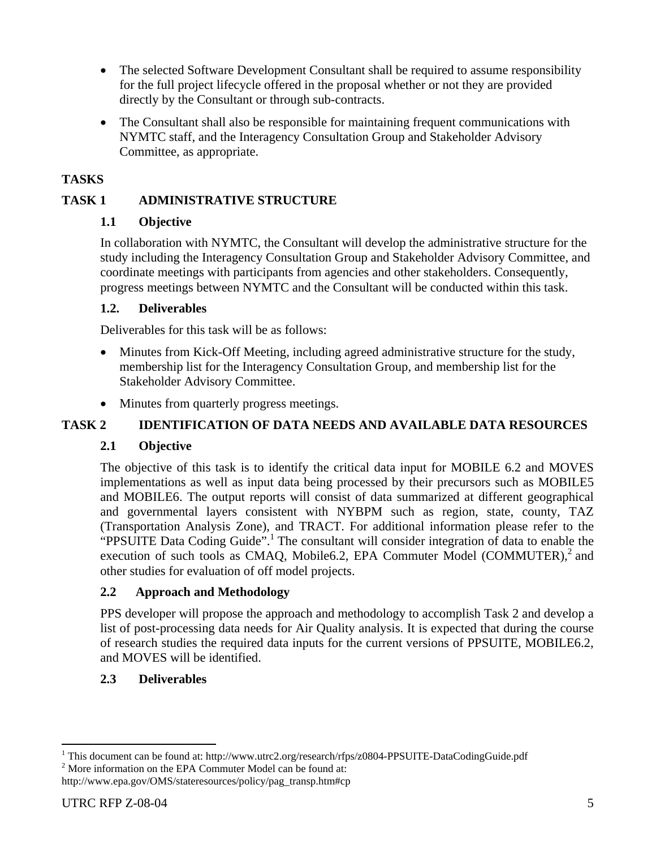- The selected Software Development Consultant shall be required to assume responsibility for the full project lifecycle offered in the proposal whether or not they are provided directly by the Consultant or through sub-contracts.
- The Consultant shall also be responsible for maintaining frequent communications with NYMTC staff, and the Interagency Consultation Group and Stakeholder Advisory Committee, as appropriate.

### **TASKS**

### **TASK 1 ADMINISTRATIVE STRUCTURE**

### **1.1 Objective**

In collaboration with NYMTC, the Consultant will develop the administrative structure for the study including the Interagency Consultation Group and Stakeholder Advisory Committee, and coordinate meetings with participants from agencies and other stakeholders. Consequently, progress meetings between NYMTC and the Consultant will be conducted within this task.

#### **1.2. Deliverables**

Deliverables for this task will be as follows:

- Minutes from Kick-Off Meeting, including agreed administrative structure for the study, membership list for the Interagency Consultation Group, and membership list for the Stakeholder Advisory Committee.
- Minutes from quarterly progress meetings.

### **TASK 2 IDENTIFICATION OF DATA NEEDS AND AVAILABLE DATA RESOURCES**

### **2.1 Objective**

The objective of this task is to identify the critical data input for MOBILE 6.2 and MOVES implementations as well as input data being processed by their precursors such as MOBILE5 and MOBILE6. The output reports will consist of data summarized at different geographical and governmental layers consistent with NYBPM such as region, state, county, TAZ (Transportation Analysis Zone), and TRACT. For additional information please refer to the "PPSUITE Data Coding Guide".<sup>1</sup> The consultant will consider integration of data to enable the execution of such tools as CMAQ, Mobile6.2, EPA Commuter Model (COMMUTER), $^2$  and other studies for evaluation of off model projects.

### **2.2 Approach and Methodology**

PPS developer will propose the approach and methodology to accomplish Task 2 and develop a list of post-processing data needs for Air Quality analysis. It is expected that during the course of research studies the required data inputs for the current versions of PPSUITE, MOBILE6.2, and MOVES will be identified.

#### **2.3 Deliverables**

 $2^{2}$  More information on the EPA Commuter Model can be found at:

<sup>&</sup>lt;sup>1</sup> This document can be found at: http://www.utrc2.org/research/rfps/z0804-PPSUITE-DataCodingGuide.pdf <sup>2</sup> Mere information on the EBA Commuter Model can be found at: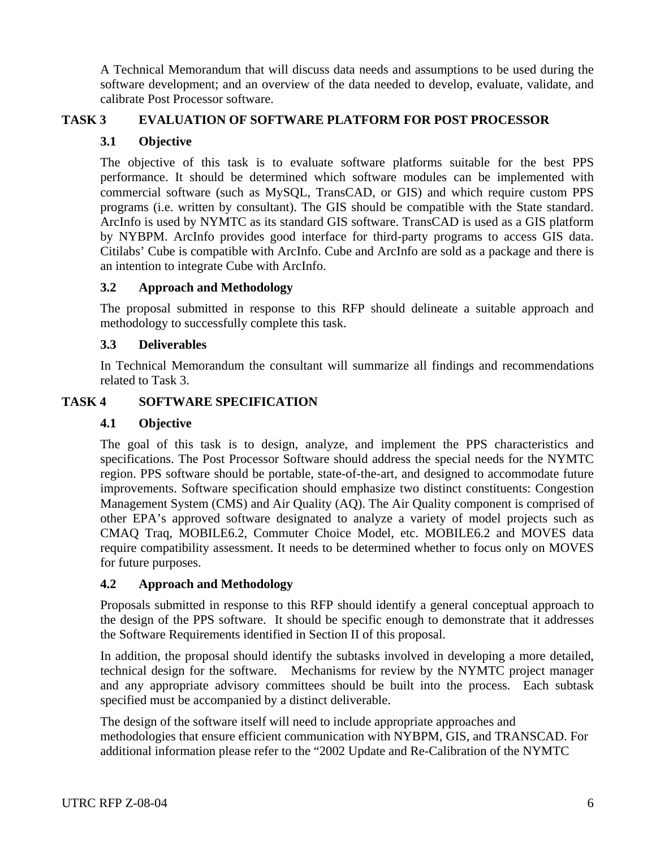A Technical Memorandum that will discuss data needs and assumptions to be used during the software development; and an overview of the data needed to develop, evaluate, validate, and calibrate Post Processor software.

### **TASK 3 EVALUATION OF SOFTWARE PLATFORM FOR POST PROCESSOR**

### **3.1 Objective**

The objective of this task is to evaluate software platforms suitable for the best PPS performance. It should be determined which software modules can be implemented with commercial software (such as MySQL, TransCAD, or GIS) and which require custom PPS programs (i.e. written by consultant). The GIS should be compatible with the State standard. ArcInfo is used by NYMTC as its standard GIS software. TransCAD is used as a GIS platform by NYBPM. ArcInfo provides good interface for third-party programs to access GIS data. Citilabs' Cube is compatible with ArcInfo. Cube and ArcInfo are sold as a package and there is an intention to integrate Cube with ArcInfo.

### **3.2 Approach and Methodology**

The proposal submitted in response to this RFP should delineate a suitable approach and methodology to successfully complete this task.

### **3.3 Deliverables**

In Technical Memorandum the consultant will summarize all findings and recommendations related to Task 3.

### **TASK 4 SOFTWARE SPECIFICATION**

### **4.1 Objective**

The goal of this task is to design, analyze, and implement the PPS characteristics and specifications. The Post Processor Software should address the special needs for the NYMTC region. PPS software should be portable, state-of-the-art, and designed to accommodate future improvements. Software specification should emphasize two distinct constituents: Congestion Management System (CMS) and Air Quality (AQ). The Air Quality component is comprised of other EPA's approved software designated to analyze a variety of model projects such as CMAQ Traq, MOBILE6.2, Commuter Choice Model, etc. MOBILE6.2 and MOVES data require compatibility assessment. It needs to be determined whether to focus only on MOVES for future purposes.

### **4.2 Approach and Methodology**

Proposals submitted in response to this RFP should identify a general conceptual approach to the design of the PPS software. It should be specific enough to demonstrate that it addresses the Software Requirements identified in Section II of this proposal.

In addition, the proposal should identify the subtasks involved in developing a more detailed, technical design for the software. Mechanisms for review by the NYMTC project manager and any appropriate advisory committees should be built into the process. Each subtask specified must be accompanied by a distinct deliverable.

The design of the software itself will need to include appropriate approaches and methodologies that ensure efficient communication with NYBPM, GIS, and TRANSCAD. For additional information please refer to the "2002 Update and Re-Calibration of the NYMTC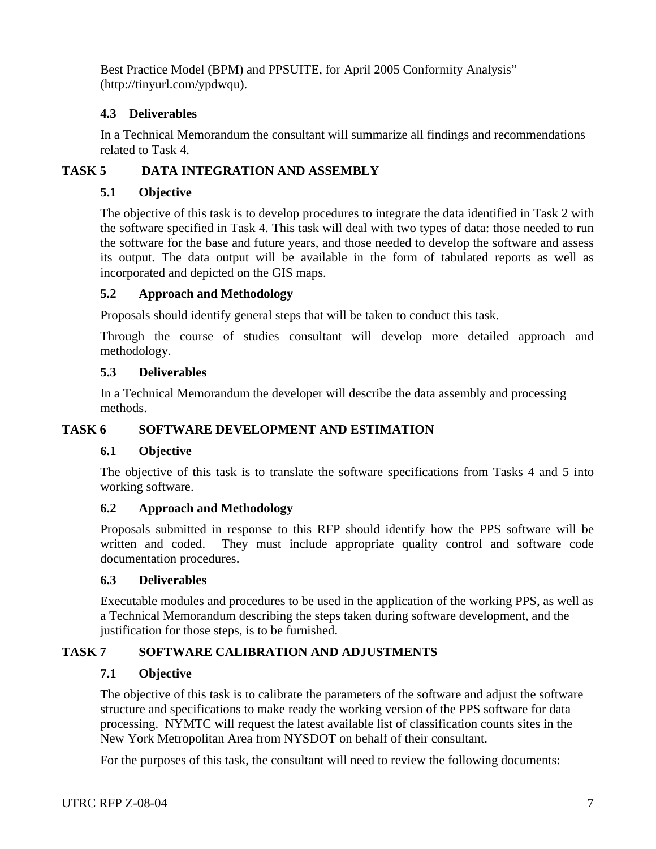Best Practice Model (BPM) and PPSUITE, for April 2005 Conformity Analysis" (http://tinyurl.com/ypdwqu).

### **4.3 Deliverables**

In a Technical Memorandum the consultant will summarize all findings and recommendations related to Task 4.

### **TASK 5 DATA INTEGRATION AND ASSEMBLY**

### **5.1 Objective**

The objective of this task is to develop procedures to integrate the data identified in Task 2 with the software specified in Task 4. This task will deal with two types of data: those needed to run the software for the base and future years, and those needed to develop the software and assess its output. The data output will be available in the form of tabulated reports as well as incorporated and depicted on the GIS maps.

### **5.2 Approach and Methodology**

Proposals should identify general steps that will be taken to conduct this task.

 Through the course of studies consultant will develop more detailed approach and methodology.

### **5.3 Deliverables**

In a Technical Memorandum the developer will describe the data assembly and processing methods.

### **TASK 6 SOFTWARE DEVELOPMENT AND ESTIMATION**

### **6.1 Objective**

The objective of this task is to translate the software specifications from Tasks 4 and 5 into working software.

# **6.2 Approach and Methodology**

Proposals submitted in response to this RFP should identify how the PPS software will be written and coded. They must include appropriate quality control and software code documentation procedures.

### **6.3 Deliverables**

Executable modules and procedures to be used in the application of the working PPS, as well as a Technical Memorandum describing the steps taken during software development, and the justification for those steps, is to be furnished.

# **TASK 7 SOFTWARE CALIBRATION AND ADJUSTMENTS**

### **7.1 Objective**

The objective of this task is to calibrate the parameters of the software and adjust the software structure and specifications to make ready the working version of the PPS software for data processing. NYMTC will request the latest available list of classification counts sites in the New York Metropolitan Area from NYSDOT on behalf of their consultant.

For the purposes of this task, the consultant will need to review the following documents: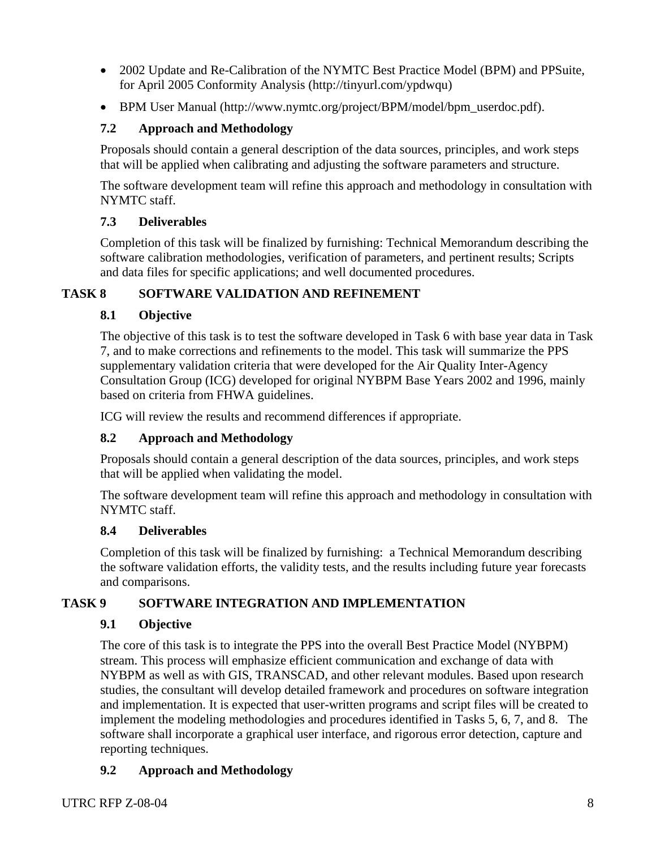- 2002 Update and Re-Calibration of the NYMTC Best Practice Model (BPM) and PPSuite, for April 2005 Conformity Analysis (http://tinyurl.com/ypdwqu)
- BPM User Manual (http://www.nymtc.org/project/BPM/model/bpm\_userdoc.pdf).

# **7.2 Approach and Methodology**

Proposals should contain a general description of the data sources, principles, and work steps that will be applied when calibrating and adjusting the software parameters and structure.

The software development team will refine this approach and methodology in consultation with NYMTC staff.

# **7.3 Deliverables**

Completion of this task will be finalized by furnishing: Technical Memorandum describing the software calibration methodologies, verification of parameters, and pertinent results; Scripts and data files for specific applications; and well documented procedures.

# **TASK 8 SOFTWARE VALIDATION AND REFINEMENT**

# **8.1 Objective**

The objective of this task is to test the software developed in Task 6 with base year data in Task 7, and to make corrections and refinements to the model. This task will summarize the PPS supplementary validation criteria that were developed for the Air Quality Inter-Agency Consultation Group (ICG) developed for original NYBPM Base Years 2002 and 1996, mainly based on criteria from FHWA guidelines.

ICG will review the results and recommend differences if appropriate.

# **8.2 Approach and Methodology**

Proposals should contain a general description of the data sources, principles, and work steps that will be applied when validating the model.

The software development team will refine this approach and methodology in consultation with NYMTC staff.

# **8.4 Deliverables**

Completion of this task will be finalized by furnishing: a Technical Memorandum describing the software validation efforts, the validity tests, and the results including future year forecasts and comparisons.

# **TASK 9 SOFTWARE INTEGRATION AND IMPLEMENTATION**

# **9.1 Objective**

The core of this task is to integrate the PPS into the overall Best Practice Model (NYBPM) stream. This process will emphasize efficient communication and exchange of data with NYBPM as well as with GIS, TRANSCAD, and other relevant modules. Based upon research studies, the consultant will develop detailed framework and procedures on software integration and implementation. It is expected that user-written programs and script files will be created to implement the modeling methodologies and procedures identified in Tasks 5, 6, 7, and 8. The software shall incorporate a graphical user interface, and rigorous error detection, capture and reporting techniques.

# **9.2 Approach and Methodology**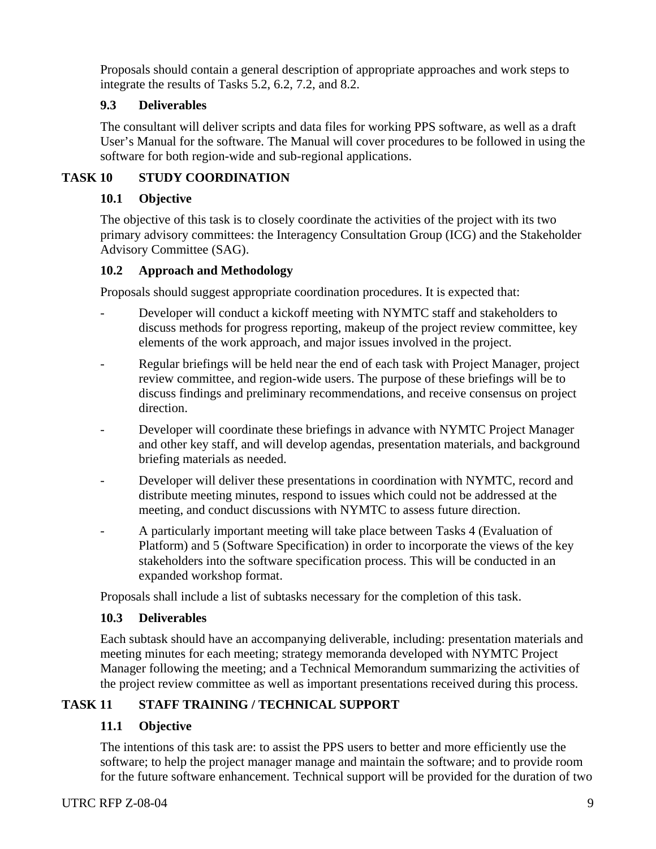Proposals should contain a general description of appropriate approaches and work steps to integrate the results of Tasks 5.2, 6.2, 7.2, and 8.2.

# **9.3 Deliverables**

The consultant will deliver scripts and data files for working PPS software, as well as a draft User's Manual for the software. The Manual will cover procedures to be followed in using the software for both region-wide and sub-regional applications.

# **TASK 10 STUDY COORDINATION**

# **10.1 Objective**

The objective of this task is to closely coordinate the activities of the project with its two primary advisory committees: the Interagency Consultation Group (ICG) and the Stakeholder Advisory Committee (SAG).

### **10.2 Approach and Methodology**

Proposals should suggest appropriate coordination procedures. It is expected that:

- Developer will conduct a kickoff meeting with NYMTC staff and stakeholders to discuss methods for progress reporting, makeup of the project review committee, key elements of the work approach, and major issues involved in the project.
- Regular briefings will be held near the end of each task with Project Manager, project review committee, and region-wide users. The purpose of these briefings will be to discuss findings and preliminary recommendations, and receive consensus on project direction.
- Developer will coordinate these briefings in advance with NYMTC Project Manager and other key staff, and will develop agendas, presentation materials, and background briefing materials as needed.
- Developer will deliver these presentations in coordination with NYMTC, record and distribute meeting minutes, respond to issues which could not be addressed at the meeting, and conduct discussions with NYMTC to assess future direction.
- A particularly important meeting will take place between Tasks 4 (Evaluation of Platform) and 5 (Software Specification) in order to incorporate the views of the key stakeholders into the software specification process. This will be conducted in an expanded workshop format.

Proposals shall include a list of subtasks necessary for the completion of this task.

### **10.3 Deliverables**

Each subtask should have an accompanying deliverable, including: presentation materials and meeting minutes for each meeting; strategy memoranda developed with NYMTC Project Manager following the meeting; and a Technical Memorandum summarizing the activities of the project review committee as well as important presentations received during this process.

# **TASK 11 STAFF TRAINING / TECHNICAL SUPPORT**

# **11.1 Objective**

The intentions of this task are: to assist the PPS users to better and more efficiently use the software; to help the project manager manage and maintain the software; and to provide room for the future software enhancement. Technical support will be provided for the duration of two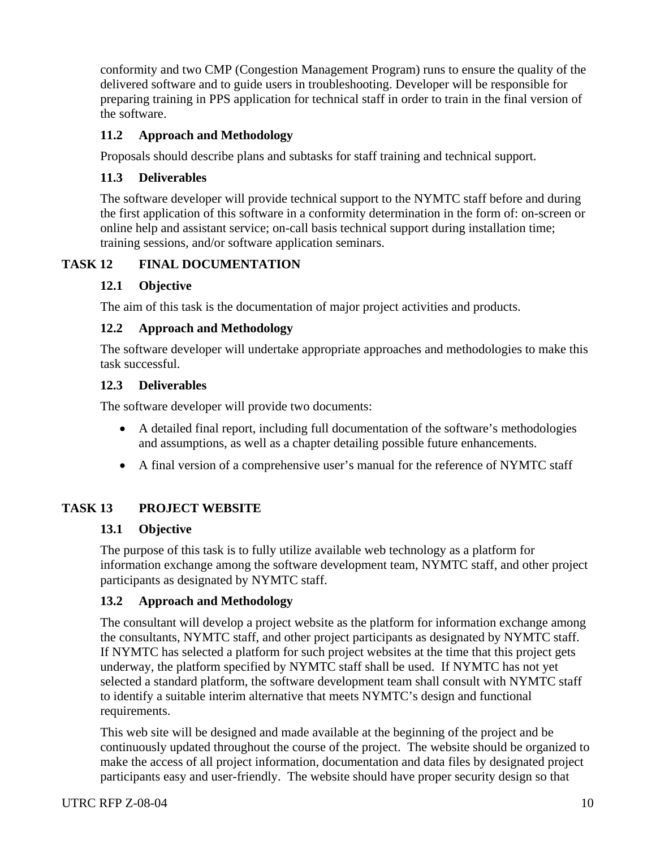conformity and two CMP (Congestion Management Program) runs to ensure the quality of the delivered software and to guide users in troubleshooting. Developer will be responsible for preparing training in PPS application for technical staff in order to train in the final version of the software.

# **11.2 Approach and Methodology**

Proposals should describe plans and subtasks for staff training and technical support.

# **11.3 Deliverables**

The software developer will provide technical support to the NYMTC staff before and during the first application of this software in a conformity determination in the form of: on-screen or online help and assistant service; on-call basis technical support during installation time; training sessions, and/or software application seminars.

# **TASK 12 FINAL DOCUMENTATION**

# **12.1 Objective**

The aim of this task is the documentation of major project activities and products.

# **12.2 Approach and Methodology**

The software developer will undertake appropriate approaches and methodologies to make this task successful.

### **12.3 Deliverables**

The software developer will provide two documents:

- A detailed final report, including full documentation of the software's methodologies and assumptions, as well as a chapter detailing possible future enhancements.
- A final version of a comprehensive user's manual for the reference of NYMTC staff

# **TASK 13 PROJECT WEBSITE**

# **13.1 Objective**

The purpose of this task is to fully utilize available web technology as a platform for information exchange among the software development team, NYMTC staff, and other project participants as designated by NYMTC staff.

# **13.2 Approach and Methodology**

The consultant will develop a project website as the platform for information exchange among the consultants, NYMTC staff, and other project participants as designated by NYMTC staff. If NYMTC has selected a platform for such project websites at the time that this project gets underway, the platform specified by NYMTC staff shall be used. If NYMTC has not yet selected a standard platform, the software development team shall consult with NYMTC staff to identify a suitable interim alternative that meets NYMTC's design and functional requirements.

This web site will be designed and made available at the beginning of the project and be continuously updated throughout the course of the project. The website should be organized to make the access of all project information, documentation and data files by designated project participants easy and user-friendly. The website should have proper security design so that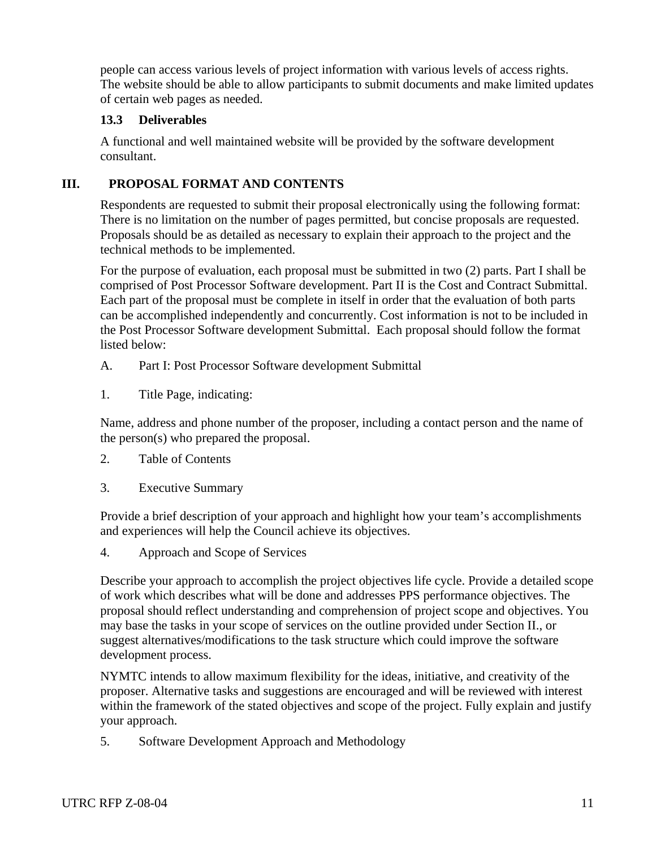people can access various levels of project information with various levels of access rights. The website should be able to allow participants to submit documents and make limited updates of certain web pages as needed.

#### **13.3 Deliverables**

A functional and well maintained website will be provided by the software development consultant.

### **III. PROPOSAL FORMAT AND CONTENTS**

Respondents are requested to submit their proposal electronically using the following format: There is no limitation on the number of pages permitted, but concise proposals are requested. Proposals should be as detailed as necessary to explain their approach to the project and the technical methods to be implemented.

For the purpose of evaluation, each proposal must be submitted in two (2) parts. Part I shall be comprised of Post Processor Software development. Part II is the Cost and Contract Submittal. Each part of the proposal must be complete in itself in order that the evaluation of both parts can be accomplished independently and concurrently. Cost information is not to be included in the Post Processor Software development Submittal. Each proposal should follow the format listed below:

- A. Part I: Post Processor Software development Submittal
- 1. Title Page, indicating:

Name, address and phone number of the proposer, including a contact person and the name of the person(s) who prepared the proposal.

- 2. Table of Contents
- 3. Executive Summary

Provide a brief description of your approach and highlight how your team's accomplishments and experiences will help the Council achieve its objectives.

4. Approach and Scope of Services

Describe your approach to accomplish the project objectives life cycle. Provide a detailed scope of work which describes what will be done and addresses PPS performance objectives. The proposal should reflect understanding and comprehension of project scope and objectives. You may base the tasks in your scope of services on the outline provided under Section II., or suggest alternatives/modifications to the task structure which could improve the software development process.

NYMTC intends to allow maximum flexibility for the ideas, initiative, and creativity of the proposer. Alternative tasks and suggestions are encouraged and will be reviewed with interest within the framework of the stated objectives and scope of the project. Fully explain and justify your approach.

5. Software Development Approach and Methodology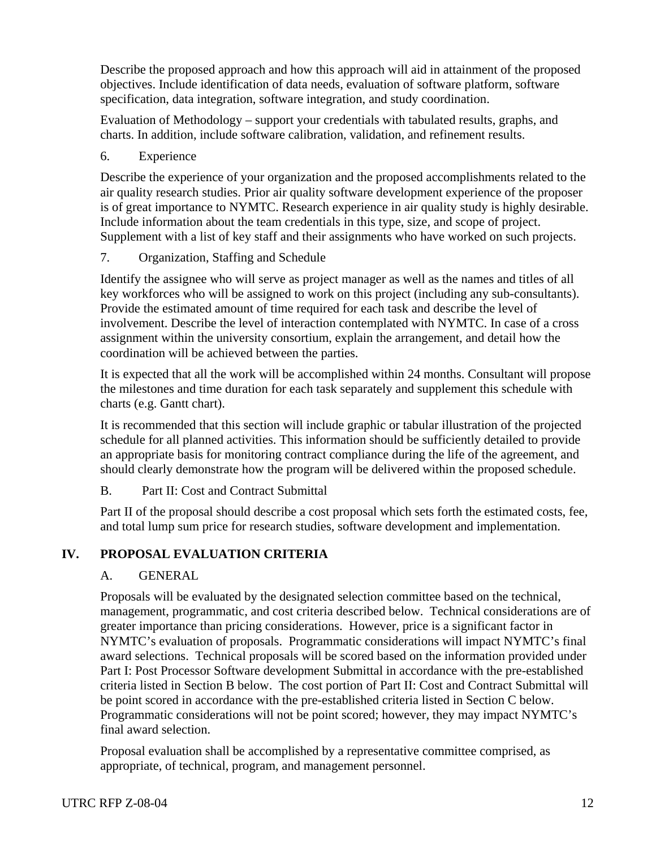Describe the proposed approach and how this approach will aid in attainment of the proposed objectives. Include identification of data needs, evaluation of software platform, software specification, data integration, software integration, and study coordination.

Evaluation of Methodology – support your credentials with tabulated results, graphs, and charts. In addition, include software calibration, validation, and refinement results.

6. Experience

Describe the experience of your organization and the proposed accomplishments related to the air quality research studies. Prior air quality software development experience of the proposer is of great importance to NYMTC. Research experience in air quality study is highly desirable. Include information about the team credentials in this type, size, and scope of project. Supplement with a list of key staff and their assignments who have worked on such projects.

7. Organization, Staffing and Schedule

Identify the assignee who will serve as project manager as well as the names and titles of all key workforces who will be assigned to work on this project (including any sub-consultants). Provide the estimated amount of time required for each task and describe the level of involvement. Describe the level of interaction contemplated with NYMTC. In case of a cross assignment within the university consortium, explain the arrangement, and detail how the coordination will be achieved between the parties.

It is expected that all the work will be accomplished within 24 months. Consultant will propose the milestones and time duration for each task separately and supplement this schedule with charts (e.g. Gantt chart).

It is recommended that this section will include graphic or tabular illustration of the projected schedule for all planned activities. This information should be sufficiently detailed to provide an appropriate basis for monitoring contract compliance during the life of the agreement, and should clearly demonstrate how the program will be delivered within the proposed schedule.

# B. Part II: Cost and Contract Submittal

Part II of the proposal should describe a cost proposal which sets forth the estimated costs, fee, and total lump sum price for research studies, software development and implementation.

# **IV. PROPOSAL EVALUATION CRITERIA**

# A. GENERAL

Proposals will be evaluated by the designated selection committee based on the technical, management, programmatic, and cost criteria described below. Technical considerations are of greater importance than pricing considerations. However, price is a significant factor in NYMTC's evaluation of proposals. Programmatic considerations will impact NYMTC's final award selections. Technical proposals will be scored based on the information provided under Part I: Post Processor Software development Submittal in accordance with the pre-established criteria listed in Section B below. The cost portion of Part II: Cost and Contract Submittal will be point scored in accordance with the pre-established criteria listed in Section C below. Programmatic considerations will not be point scored; however, they may impact NYMTC's final award selection.

Proposal evaluation shall be accomplished by a representative committee comprised, as appropriate, of technical, program, and management personnel.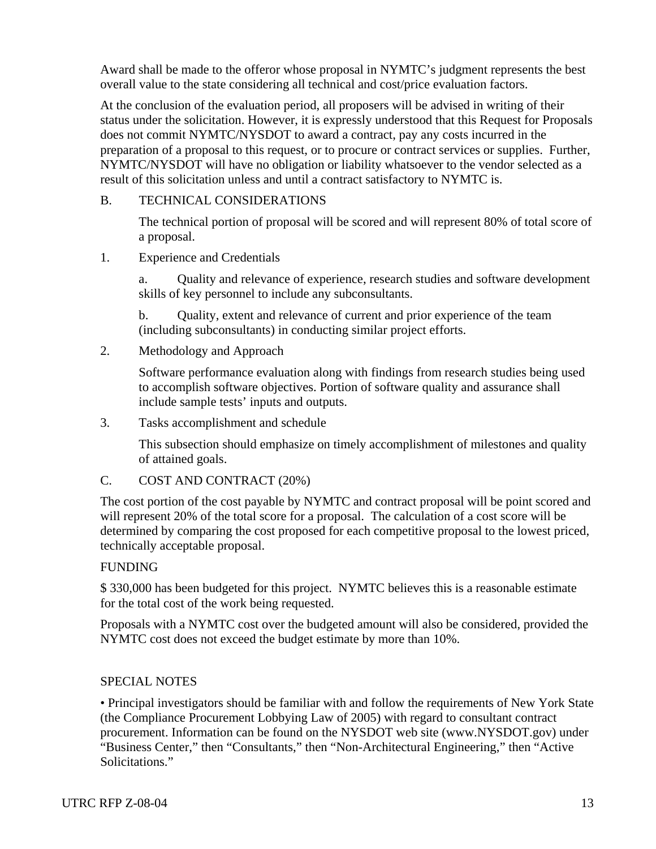Award shall be made to the offeror whose proposal in NYMTC's judgment represents the best overall value to the state considering all technical and cost/price evaluation factors.

At the conclusion of the evaluation period, all proposers will be advised in writing of their status under the solicitation. However, it is expressly understood that this Request for Proposals does not commit NYMTC/NYSDOT to award a contract, pay any costs incurred in the preparation of a proposal to this request, or to procure or contract services or supplies. Further, NYMTC/NYSDOT will have no obligation or liability whatsoever to the vendor selected as a result of this solicitation unless and until a contract satisfactory to NYMTC is.

#### B. TECHNICAL CONSIDERATIONS

The technical portion of proposal will be scored and will represent 80% of total score of a proposal.

1. Experience and Credentials

a. Quality and relevance of experience, research studies and software development skills of key personnel to include any subconsultants.

b. Quality, extent and relevance of current and prior experience of the team (including subconsultants) in conducting similar project efforts.

2. Methodology and Approach

Software performance evaluation along with findings from research studies being used to accomplish software objectives. Portion of software quality and assurance shall include sample tests' inputs and outputs.

3. Tasks accomplishment and schedule

This subsection should emphasize on timely accomplishment of milestones and quality of attained goals.

C. COST AND CONTRACT (20%)

The cost portion of the cost payable by NYMTC and contract proposal will be point scored and will represent 20% of the total score for a proposal. The calculation of a cost score will be determined by comparing the cost proposed for each competitive proposal to the lowest priced, technically acceptable proposal.

#### FUNDING

\$ 330,000 has been budgeted for this project. NYMTC believes this is a reasonable estimate for the total cost of the work being requested.

Proposals with a NYMTC cost over the budgeted amount will also be considered, provided the NYMTC cost does not exceed the budget estimate by more than 10%.

#### SPECIAL NOTES

• Principal investigators should be familiar with and follow the requirements of New York State (the Compliance Procurement Lobbying Law of 2005) with regard to consultant contract procurement. Information can be found on the NYSDOT web site (www.NYSDOT.gov) under "Business Center," then "Consultants," then "Non-Architectural Engineering," then "Active Solicitations."